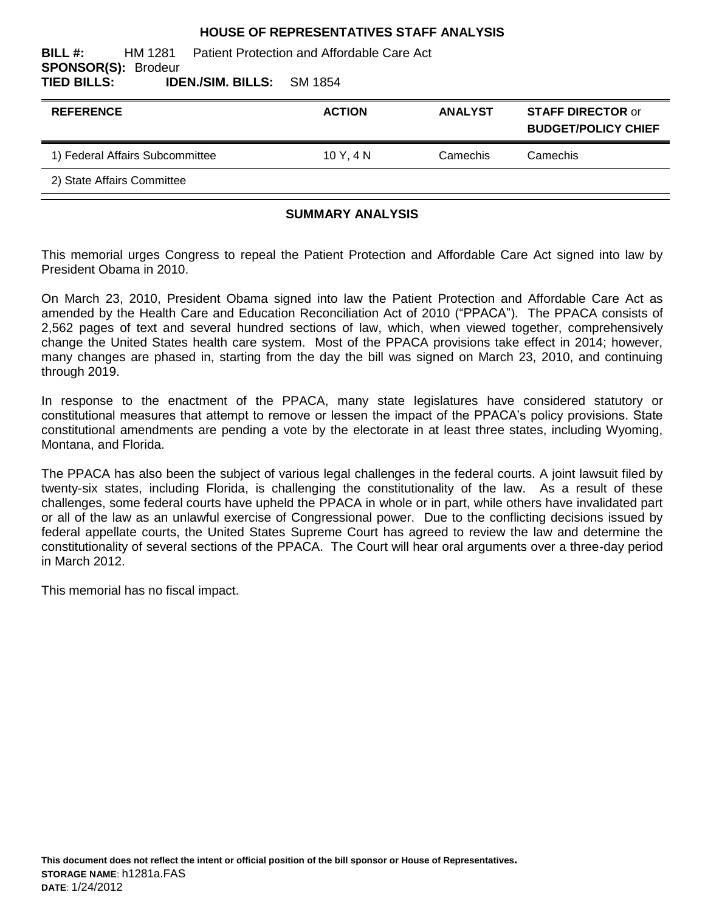#### **HOUSE OF REPRESENTATIVES STAFF ANALYSIS**

| BILL #:<br>HM 1281 Patient Protection and Affordable Care Act<br><b>SPONSOR(S): Brodeur</b> |               |                |                                                        |
|---------------------------------------------------------------------------------------------|---------------|----------------|--------------------------------------------------------|
| TIED BILLS:<br><b>IDEN./SIM. BILLS:</b> SM 1854                                             |               |                |                                                        |
| <b>REFERENCE</b>                                                                            | <b>ACTION</b> | <b>ANALYST</b> | <b>STAFF DIRECTOR or</b><br><b>BUDGET/POLICY CHIEF</b> |
| 1) Federal Affairs Subcommittee                                                             | 10Y.4N        | Camechis       | Camechis                                               |

2) State Affairs Committee

#### **SUMMARY ANALYSIS**

This memorial urges Congress to repeal the Patient Protection and Affordable Care Act signed into law by President Obama in 2010.

On March 23, 2010, President Obama signed into law the Patient Protection and Affordable Care Act as amended by the Health Care and Education Reconciliation Act of 2010 ("PPACA"). The PPACA consists of 2,562 pages of text and several hundred sections of law, which, when viewed together, comprehensively change the United States health care system. Most of the PPACA provisions take effect in 2014; however, many changes are phased in, starting from the day the bill was signed on March 23, 2010, and continuing through 2019.

In response to the enactment of the PPACA, many state legislatures have considered statutory or constitutional measures that attempt to remove or lessen the impact of the PPACA"s policy provisions. State constitutional amendments are pending a vote by the electorate in at least three states, including Wyoming, Montana, and Florida.

The PPACA has also been the subject of various legal challenges in the federal courts. A joint lawsuit filed by twenty-six states, including Florida, is challenging the constitutionality of the law. As a result of these challenges, some federal courts have upheld the PPACA in whole or in part, while others have invalidated part or all of the law as an unlawful exercise of Congressional power. Due to the conflicting decisions issued by federal appellate courts, the United States Supreme Court has agreed to review the law and determine the constitutionality of several sections of the PPACA. The Court will hear oral arguments over a three-day period in March 2012.

This memorial has no fiscal impact.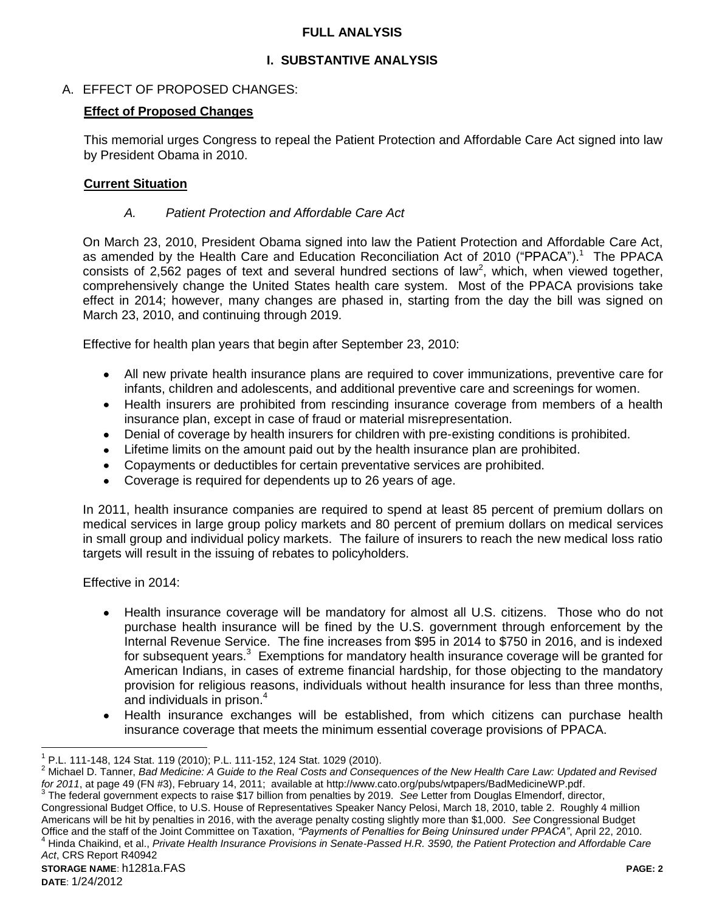#### **FULL ANALYSIS**

## **I. SUBSTANTIVE ANALYSIS**

## A. EFFECT OF PROPOSED CHANGES:

### **Effect of Proposed Changes**

This memorial urges Congress to repeal the Patient Protection and Affordable Care Act signed into law by President Obama in 2010.

#### **Current Situation**

## *A. Patient Protection and Affordable Care Act*

On March 23, 2010, President Obama signed into law the Patient Protection and Affordable Care Act, as amended by the Health Care and Education Reconciliation Act of 2010 ("PPACA"). 1 The PPACA consists of 2,562 pages of text and several hundred sections of law<sup>2</sup>, which, when viewed together, comprehensively change the United States health care system. Most of the PPACA provisions take effect in 2014; however, many changes are phased in, starting from the day the bill was signed on March 23, 2010, and continuing through 2019.

Effective for health plan years that begin after September 23, 2010:

- All new private health insurance plans are required to cover immunizations, preventive care for infants, children and adolescents, and additional preventive care and screenings for women.
- Health insurers are prohibited from rescinding insurance coverage from members of a health insurance plan, except in case of fraud or material misrepresentation.
- Denial of coverage by health insurers for children with pre-existing conditions is prohibited.
- Lifetime limits on the amount paid out by the health insurance plan are prohibited.
- Copayments or deductibles for certain preventative services are prohibited.
- Coverage is required for dependents up to 26 years of age.

In 2011, health insurance companies are required to spend at least 85 percent of premium dollars on medical services in large group policy markets and 80 percent of premium dollars on medical services in small group and individual policy markets. The failure of insurers to reach the new medical loss ratio targets will result in the issuing of rebates to policyholders.

Effective in 2014:

- Health insurance coverage will be mandatory for almost all U.S. citizens. Those who do not purchase health insurance will be fined by the U.S. government through enforcement by the Internal Revenue Service. The fine increases from \$95 in 2014 to \$750 in 2016, and is indexed for subsequent years. $3$  Exemptions for mandatory health insurance coverage will be granted for American Indians, in cases of extreme financial hardship, for those objecting to the mandatory provision for religious reasons, individuals without health insurance for less than three months, and individuals in prison.<sup>4</sup>
- Health insurance exchanges will be established, from which citizens can purchase health insurance coverage that meets the minimum essential coverage provisions of PPACA.

<sup>&</sup>lt;sup>1</sup> P.L. 111-148, 124 Stat. 119 (2010); P.L. 111-152, 124 Stat. 1029 (2010).

<sup>2</sup> Michael D. Tanner, *Bad Medicine: A Guide to the Real Costs and Consequences of the New Health Care Law: Updated and Revised for 2011*, at page 49 (FN #3), February 14, 2011; available at http://www.cato.org/pubs/wtpapers/BadMedicineWP.pdf.

**STORAGE NAME**: h1281a.FAS **PAGE: 2** <sup>3</sup> The federal government expects to raise \$17 billion from penalties by 2019. See Letter from Douglas Elmendorf, director, Congressional Budget Office, to U.S. House of Representatives Speaker Nancy Pelosi, March 18, 2010, table 2. Roughly 4 million Americans will be hit by penalties in 2016, with the average penalty costing slightly more than \$1,000. *See* Congressional Budget Office and the staff of the Joint Committee on Taxation, *"Payments of Penalties for Being Uninsured under PPACA"*, April 22, 2010. <sup>4</sup> Hinda Chaikind, et al., *Private Health Insurance Provisions in Senate-Passed H.R. 3590, the Patient Protection and Affordable Care Act*, CRS Report R40942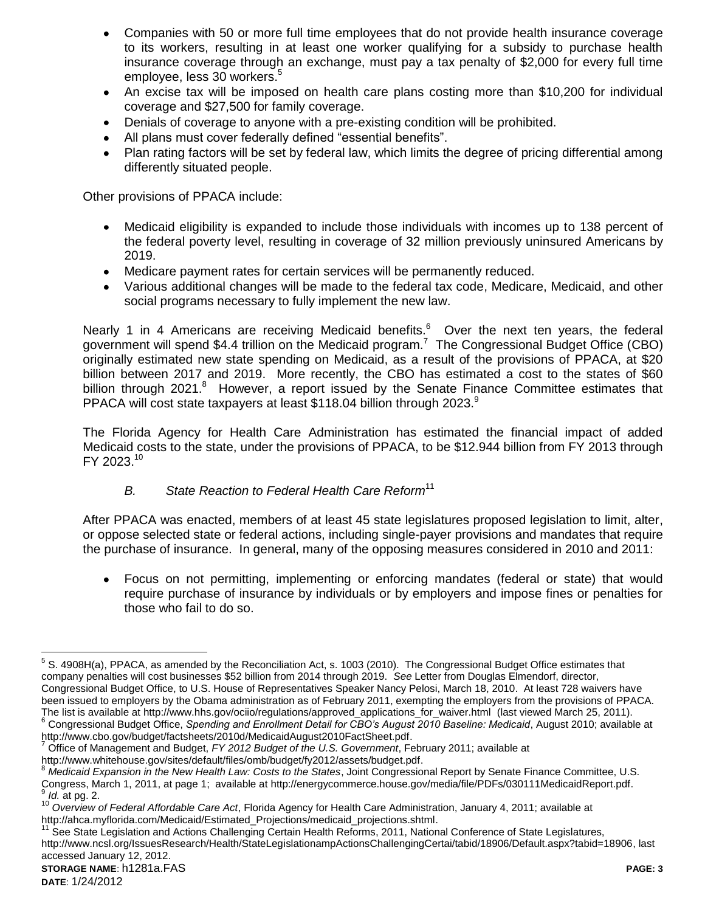- Companies with 50 or more full time employees that do not provide health insurance coverage to its workers, resulting in at least one worker qualifying for a subsidy to purchase health insurance coverage through an exchange, must pay a tax penalty of \$2,000 for every full time employee, less 30 workers.<sup>5</sup>
- An excise tax will be imposed on health care plans costing more than \$10,200 for individual  $\bullet$ coverage and \$27,500 for family coverage.
- Denials of coverage to anyone with a pre-existing condition will be prohibited.
- All plans must cover federally defined "essential benefits".
- Plan rating factors will be set by federal law, which limits the degree of pricing differential among differently situated people.

Other provisions of PPACA include:

- Medicaid eligibility is expanded to include those individuals with incomes up to 138 percent of  $\bullet$ the federal poverty level, resulting in coverage of 32 million previously uninsured Americans by 2019.
- Medicare payment rates for certain services will be permanently reduced.
- Various additional changes will be made to the federal tax code, Medicare, Medicaid, and other social programs necessary to fully implement the new law.

Nearly 1 in 4 Americans are receiving Medicaid benefits.<sup>6</sup> Over the next ten years, the federal government will spend \$4.4 trillion on the Medicaid program.<sup>7</sup> The Congressional Budget Office (CBO) originally estimated new state spending on Medicaid, as a result of the provisions of PPACA, at \$20 billion between 2017 and 2019. More recently, the CBO has estimated a cost to the states of \$60 billion through 2021.<sup>8</sup> However, a report issued by the Senate Finance Committee estimates that PPACA will cost state taxpayers at least \$118.04 billion through 2023. $9$ 

The Florida Agency for Health Care Administration has estimated the financial impact of added Medicaid costs to the state, under the provisions of PPACA, to be \$12.944 billion from FY 2013 through FY 2023.<sup>10</sup>

#### *B. State Reaction to Federal Health Care Reform*<sup>11</sup>

After PPACA was enacted, members of at least 45 state legislatures proposed legislation to limit, alter, or oppose selected state or federal actions, including single-payer provisions and mandates that require the purchase of insurance. In general, many of the opposing measures considered in 2010 and 2011:

Focus on not permitting, implementing or enforcing mandates (federal or state) that would  $\bullet$ require purchase of insurance by individuals or by employers and impose fines or penalties for those who fail to do so.

 $5$  S. 4908H(a), PPACA, as amended by the Reconciliation Act, s. 1003 (2010). The Congressional Budget Office estimates that company penalties will cost businesses \$52 billion from 2014 through 2019. *See* Letter from Douglas Elmendorf, director, Congressional Budget Office, to U.S. House of Representatives Speaker Nancy Pelosi, March 18, 2010. At least 728 waivers have been issued to employers by the Obama administration as of February 2011, exempting the employers from the provisions of PPACA. The list is available at http://www.hhs.gov/ociio/regulations/approved\_applications\_for\_waiver.html (last viewed March 25, 2011).

<sup>6</sup> Congressional Budget Office, *Spending and Enrollment Detail for CBO's August 2010 Baseline: Medicaid*, August 2010; available at http://www.cbo.gov/budget/factsheets/2010d/MedicaidAugust2010FactSheet.pdf.

<sup>7</sup> Office of Management and Budget, *FY 2012 Budget of the U.S. Government*, February 2011; available at

http://www.whitehouse.gov/sites/default/files/omb/budget/fy2012/assets/budget.pdf.

<sup>8</sup> Medicaid Expansion in the New Health Law: Costs to the States, Joint Congressional Report by Senate Finance Committee, U.S. Congress, March 1, 2011, at page 1; available at http://energycommerce.house.gov/media/file/PDFs/030111MedicaidReport.pdf. 9 *Id.* at pg. 2.

<sup>10</sup> *Overview of Federal Affordable Care Act*, Florida Agency for Health Care Administration, January 4, 2011; available at http://ahca.myflorida.com/Medicaid/Estimated\_Projections/medicaid\_projections.shtml.

<sup>&</sup>lt;sup>11</sup> See State Legislation and Actions Challenging Certain Health Reforms, 2011, National Conference of State Legislatures, http://www.ncsl.org/IssuesResearch/Health/StateLegislationampActionsChallengingCertai/tabid/18906/Default.aspx?tabid=18906, last accessed January 12, 2012.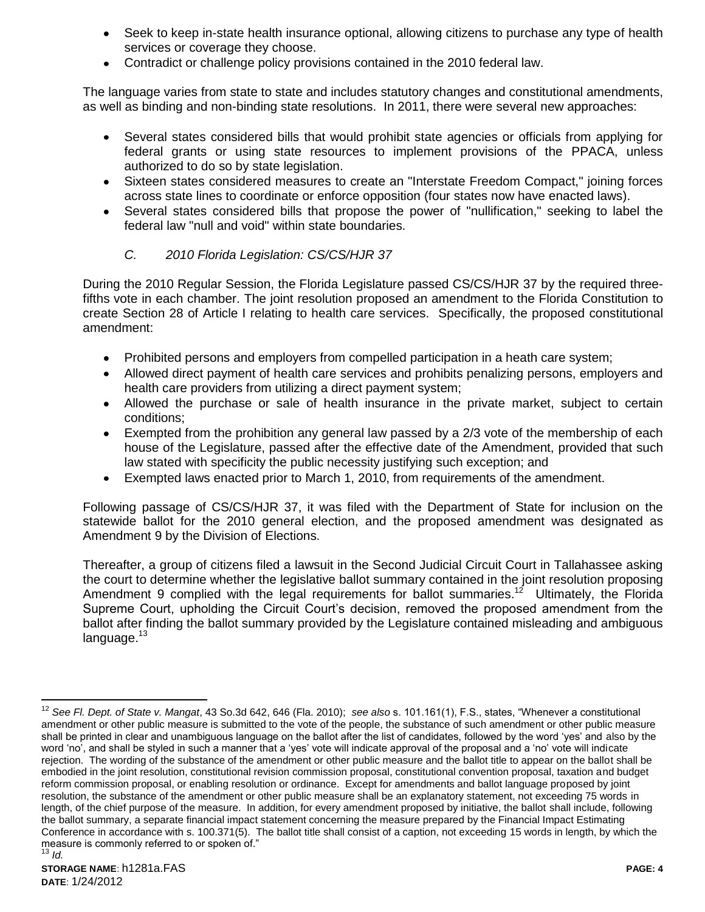- Seek to keep in-state health insurance optional, allowing citizens to purchase any type of health services or coverage they choose.
- Contradict or challenge policy provisions contained in the 2010 federal law.

The language varies from state to state and includes statutory changes and constitutional amendments, as well as binding and non-binding state resolutions. In 2011, there were several new approaches:

- Several states considered bills that would prohibit state agencies or officials from applying for federal grants or using state resources to implement provisions of the PPACA, unless authorized to do so by state legislation.
- Sixteen states considered measures to create an "Interstate Freedom Compact," joining forces across state lines to coordinate or enforce opposition (four states now have enacted laws).
- Several states considered bills that propose the power of "nullification," seeking to label the federal law "null and void" within state boundaries.

## *C. 2010 Florida Legislation: CS/CS/HJR 37*

During the 2010 Regular Session, the Florida Legislature passed CS/CS/HJR 37 by the required threefifths vote in each chamber. The joint resolution proposed an amendment to the Florida Constitution to create Section 28 of Article I relating to health care services. Specifically, the proposed constitutional amendment:

- Prohibited persons and employers from compelled participation in a heath care system;
- Allowed direct payment of health care services and prohibits penalizing persons, employers and health care providers from utilizing a direct payment system;
- Allowed the purchase or sale of health insurance in the private market, subject to certain conditions;
- Exempted from the prohibition any general law passed by a 2/3 vote of the membership of each house of the Legislature, passed after the effective date of the Amendment, provided that such law stated with specificity the public necessity justifying such exception; and
- Exempted laws enacted prior to March 1, 2010, from requirements of the amendment.

Following passage of CS/CS/HJR 37, it was filed with the Department of State for inclusion on the statewide ballot for the 2010 general election, and the proposed amendment was designated as Amendment 9 by the Division of Elections.

Thereafter, a group of citizens filed a lawsuit in the Second Judicial Circuit Court in Tallahassee asking the court to determine whether the legislative ballot summary contained in the joint resolution proposing Amendment 9 complied with the legal requirements for ballot summaries.<sup>12</sup> Ultimately, the Florida Supreme Court, upholding the Circuit Court"s decision, removed the proposed amendment from the ballot after finding the ballot summary provided by the Legislature contained misleading and ambiguous language.<sup>13</sup>

 $12$ <sup>12</sup> *See Fl. Dept. of State v. Mangat*, 43 So.3d 642, 646 (Fla. 2010); *see also* s. 101.161(1), F.S., states, "Whenever a constitutional amendment or other public measure is submitted to the vote of the people, the substance of such amendment or other public measure shall be printed in clear and unambiguous language on the ballot after the list of candidates, followed by the word "yes" and also by the word 'no', and shall be styled in such a manner that a 'yes' vote will indicate approval of the proposal and a 'no' vote will indicate rejection. The wording of the substance of the amendment or other public measure and the ballot title to appear on the ballot shall be embodied in the joint resolution, constitutional revision commission proposal, constitutional convention proposal, taxation and budget reform commission proposal, or enabling resolution or ordinance. Except for amendments and ballot language proposed by joint resolution, the substance of the amendment or other public measure shall be an explanatory statement, not exceeding 75 words in length, of the chief purpose of the measure. In addition, for every amendment proposed by initiative, the ballot shall include, following the ballot summary, a separate financial impact statement concerning the measure prepared by the Financial Impact Estimating Conference in accordance with s. 100.371(5). The ballot title shall consist of a caption, not exceeding 15 words in length, by which the measure is commonly referred to or spoken of." <sup>13</sup> *Id.*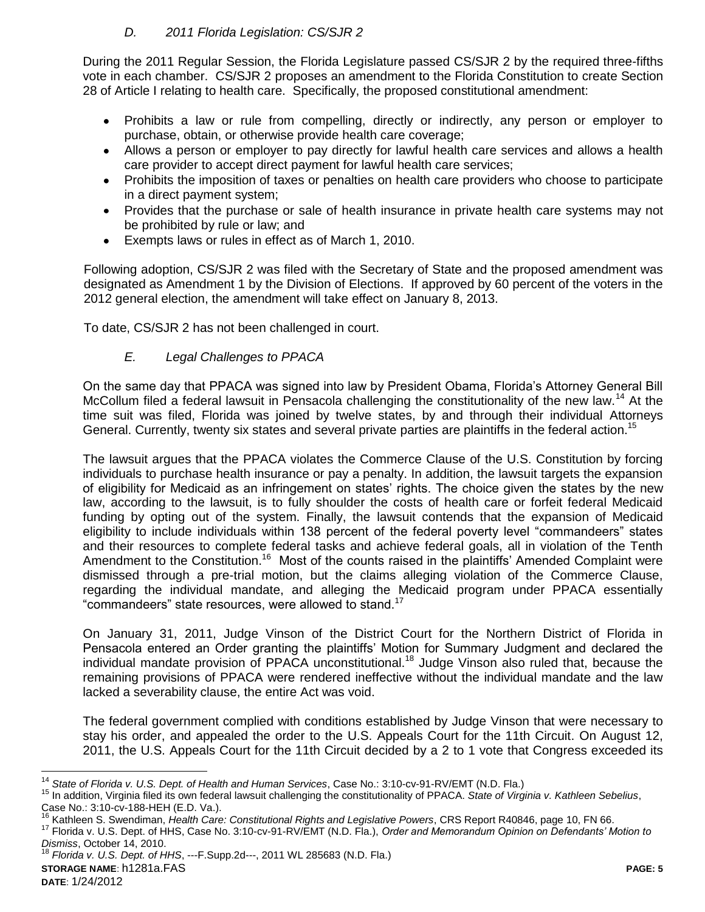## *D. 2011 Florida Legislation: CS/SJR 2*

During the 2011 Regular Session, the Florida Legislature passed CS/SJR 2 by the required three-fifths vote in each chamber. CS/SJR 2 proposes an amendment to the Florida Constitution to create Section 28 of Article I relating to health care. Specifically, the proposed constitutional amendment:

- Prohibits a law or rule from compelling, directly or indirectly, any person or employer to  $\bullet$ purchase, obtain, or otherwise provide health care coverage;
- Allows a person or employer to pay directly for lawful health care services and allows a health care provider to accept direct payment for lawful health care services;
- Prohibits the imposition of taxes or penalties on health care providers who choose to participate in a direct payment system;
- Provides that the purchase or sale of health insurance in private health care systems may not be prohibited by rule or law; and
- Exempts laws or rules in effect as of March 1, 2010.  $\bullet$

Following adoption, CS/SJR 2 was filed with the Secretary of State and the proposed amendment was designated as Amendment 1 by the Division of Elections. If approved by 60 percent of the voters in the 2012 general election, the amendment will take effect on January 8, 2013.

To date, CS/SJR 2 has not been challenged in court.

# *E. Legal Challenges to PPACA*

On the same day that PPACA was signed into law by President Obama, Florida"s Attorney General Bill McCollum filed a federal lawsuit in Pensacola challenging the constitutionality of the new law.<sup>14</sup> At the time suit was filed, Florida was joined by twelve states, by and through their individual Attorneys General. Currently, twenty six states and several private parties are plaintiffs in the federal action.<sup>15</sup>

The lawsuit argues that the PPACA violates the Commerce Clause of the U.S. Constitution by forcing individuals to purchase health insurance or pay a penalty. In addition, the lawsuit targets the expansion of eligibility for Medicaid as an infringement on states' rights. The choice given the states by the new law, according to the lawsuit, is to fully shoulder the costs of health care or forfeit federal Medicaid funding by opting out of the system. Finally, the lawsuit contends that the expansion of Medicaid eligibility to include individuals within 138 percent of the federal poverty level "commandeers" states and their resources to complete federal tasks and achieve federal goals, all in violation of the Tenth Amendment to the Constitution.<sup>16</sup> Most of the counts raised in the plaintiffs' Amended Complaint were dismissed through a pre-trial motion, but the claims alleging violation of the Commerce Clause, regarding the individual mandate, and alleging the Medicaid program under PPACA essentially "commandeers" state resources, were allowed to stand.<sup>17</sup>

On January 31, 2011, Judge Vinson of the District Court for the Northern District of Florida in Pensacola entered an Order granting the plaintiffs" Motion for Summary Judgment and declared the individual mandate provision of PPACA unconstitutional.<sup>18</sup> Judge Vinson also ruled that, because the remaining provisions of PPACA were rendered ineffective without the individual mandate and the law lacked a severability clause, the entire Act was void.

The federal government complied with conditions established by Judge Vinson that were necessary to stay his order, and appealed the order to the U.S. Appeals Court for the 11th Circuit. On August 12, 2011, the U.S. Appeals Court for the 11th Circuit decided by a 2 to 1 vote that Congress exceeded its

**STORAGE NAME**: h1281a.FAS **PAGE: 5 DATE**: 1/24/2012 <sup>18</sup> *Florida v. U.S. Dept. of HHS*, ---F.Supp.2d---, 2011 WL 285683 (N.D. Fla.)

<sup>14</sup> *State of Florida v. U.S. Dept. of Health and Human Services*, Case No.: 3:10-cv-91-RV/EMT (N.D. Fla.)

<sup>15</sup> In addition, Virginia filed its own federal lawsuit challenging the constitutionality of PPACA. *State of Virginia v. Kathleen Sebelius*, Case No.: 3:10-cv-188-HEH (E.D. Va.).

<sup>16</sup> Kathleen S. Swendiman, *Health Care: Constitutional Rights and Legislative Powers*, CRS Report R40846, page 10, FN 66.

<sup>17</sup> Florida v. U.S. Dept. of HHS, Case No. 3:10-cv-91-RV/EMT (N.D. Fla.), *Order and Memorandum Opinion on Defendants' Motion to Dismiss*, October 14, 2010.<br><sup>18</sup> Florida v. *L.C.*